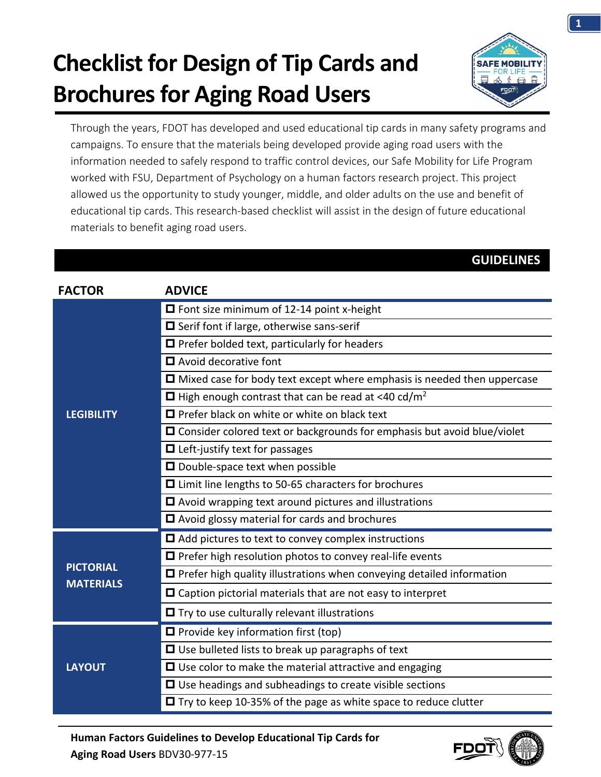## **Checklist for Design of Tip Cards and Brochures for Aging Road Users**



Through the years, FDOT has developed and used educational tip cards in many safety programs and campaigns. To ensure that the materials being developed provide aging road users with the information needed to safely respond to traffic control devices, our Safe Mobility for Life Program worked with FSU, Department of Psychology on a human factors research project. This project allowed us the opportunity to study younger, middle, and older adults on the use and benefit of educational tip cards. This research-based checklist will assist in the design of future educational materials to benefit aging road users.

#### **GUIDELINES**

| <b>FACTOR</b>                        | <b>ADVICE</b>                                                                  |
|--------------------------------------|--------------------------------------------------------------------------------|
| <b>LEGIBILITY</b>                    | $\Box$ Font size minimum of 12-14 point x-height                               |
|                                      | $\Box$ Serif font if large, otherwise sans-serif                               |
|                                      | $\Box$ Prefer bolded text, particularly for headers                            |
|                                      | $\Box$ Avoid decorative font                                                   |
|                                      | $\Box$ Mixed case for body text except where emphasis is needed then uppercase |
|                                      | $\Box$ High enough contrast that can be read at <40 cd/m <sup>2</sup>          |
|                                      | $\Box$ Prefer black on white or white on black text                            |
|                                      | $\Box$ Consider colored text or backgrounds for emphasis but avoid blue/violet |
|                                      | $\blacksquare$ Left-justify text for passages                                  |
|                                      | $\Box$ Double-space text when possible                                         |
|                                      | □ Limit line lengths to 50-65 characters for brochures                         |
|                                      | $\Box$ Avoid wrapping text around pictures and illustrations                   |
|                                      | □ Avoid glossy material for cards and brochures                                |
| <b>PICTORIAL</b><br><b>MATERIALS</b> | $\Box$ Add pictures to text to convey complex instructions                     |
|                                      | $\Box$ Prefer high resolution photos to convey real-life events                |
|                                      | $\Box$ Prefer high quality illustrations when conveying detailed information   |
|                                      | $\Box$ Caption pictorial materials that are not easy to interpret              |
|                                      | $\blacksquare$ Try to use culturally relevant illustrations                    |
| <b>LAYOUT</b>                        | $\blacksquare$ Provide key information first (top)                             |
|                                      | $\Box$ Use bulleted lists to break up paragraphs of text                       |
|                                      | $\Box$ Use color to make the material attractive and engaging                  |
|                                      | $\Box$ Use headings and subheadings to create visible sections                 |
|                                      | $\Box$ Try to keep 10-35% of the page as white space to reduce clutter         |

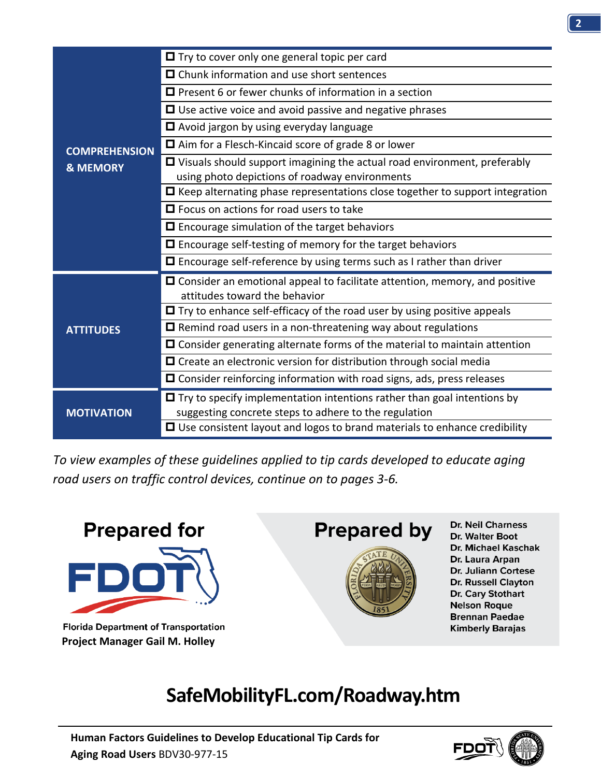| <b>COMPREHENSION</b><br><b>&amp; MEMORY</b> | $\Box$ Try to cover only one general topic per card                                     |
|---------------------------------------------|-----------------------------------------------------------------------------------------|
|                                             | $\Box$ Chunk information and use short sentences                                        |
|                                             | $\Box$ Present 6 or fewer chunks of information in a section                            |
|                                             | $\Box$ Use active voice and avoid passive and negative phrases                          |
|                                             | $\Box$ Avoid jargon by using everyday language                                          |
|                                             | $\Box$ Aim for a Flesch-Kincaid score of grade 8 or lower                               |
|                                             | $\blacksquare$ Visuals should support imagining the actual road environment, preferably |
|                                             | using photo depictions of roadway environments                                          |
|                                             | $\Box$ Keep alternating phase representations close together to support integration     |
|                                             | $\Box$ Focus on actions for road users to take                                          |
|                                             | $\Box$ Encourage simulation of the target behaviors                                     |
|                                             | $\Box$ Encourage self-testing of memory for the target behaviors                        |
|                                             | $\Box$ Encourage self-reference by using terms such as I rather than driver             |
| <b>ATTITUDES</b>                            | $\Box$ Consider an emotional appeal to facilitate attention, memory, and positive       |
|                                             | attitudes toward the behavior                                                           |
|                                             | $\Box$ Try to enhance self-efficacy of the road user by using positive appeals          |
|                                             | $\Box$ Remind road users in a non-threatening way about regulations                     |
|                                             | $\Box$ Consider generating alternate forms of the material to maintain attention        |
|                                             | $\Box$ Create an electronic version for distribution through social media               |
|                                             | $\Box$ Consider reinforcing information with road signs, ads, press releases            |
| <b>MOTIVATION</b>                           | $\Box$ Try to specify implementation intentions rather than goal intentions by          |
|                                             | suggesting concrete steps to adhere to the regulation                                   |
|                                             | $\Box$ Use consistent layout and logos to brand materials to enhance credibility        |

*To view examples of these guidelines applied to tip cards developed to educate aging road users on traffic control devices, continue on to pages 3-6.* 



**Florida Department of Transportation Project Manager Gail M. Holley**

### **Prepared by**



Dr. Neil Charness Dr. Walter Boot Dr. Michael Kaschak Dr. Laura Arpan Dr. Juliann Cortese Dr. Russell Clayton Dr. Cary Stothart **Nelson Roque Brennan Paedae Kimberly Barajas** 

### **SafeMobilityFL.com/Roadway.htm**

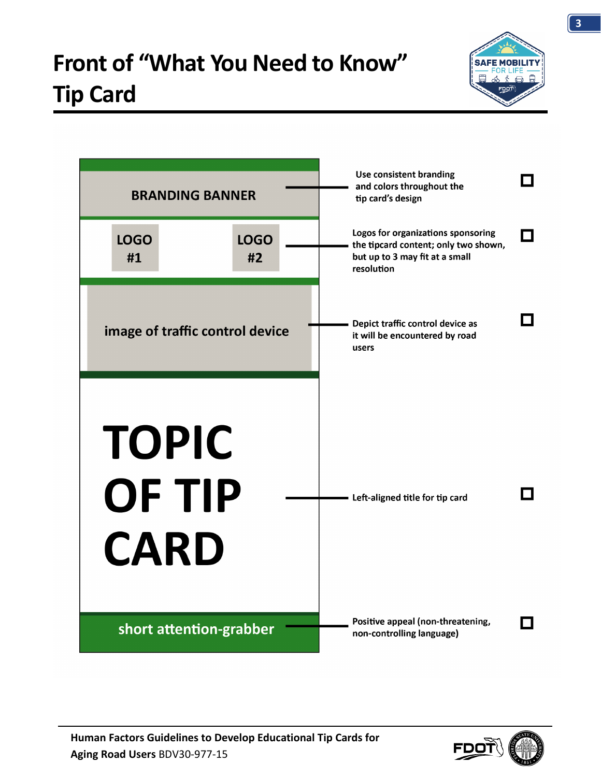



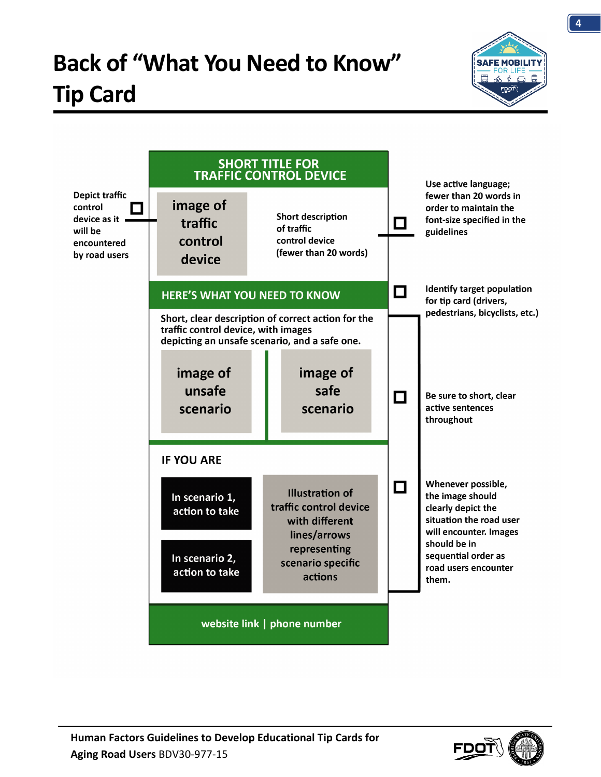# **Back of "What You Need to Know" Tip Card**





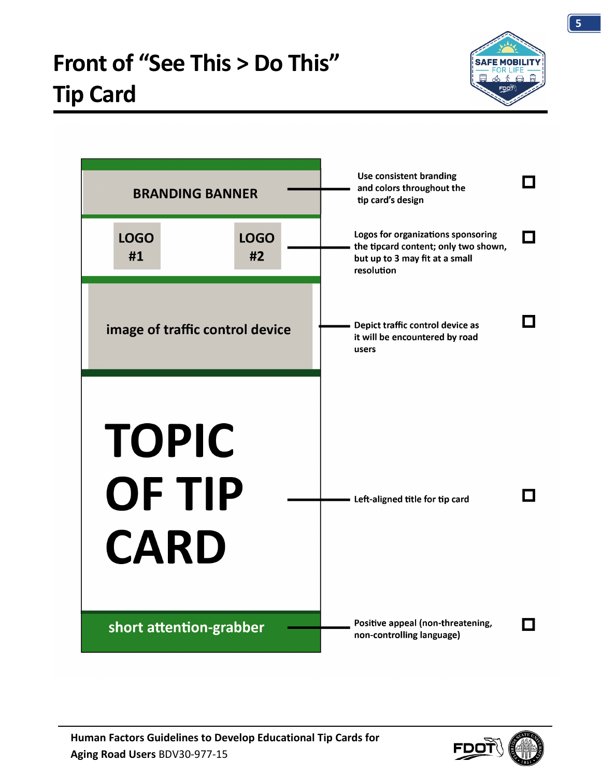